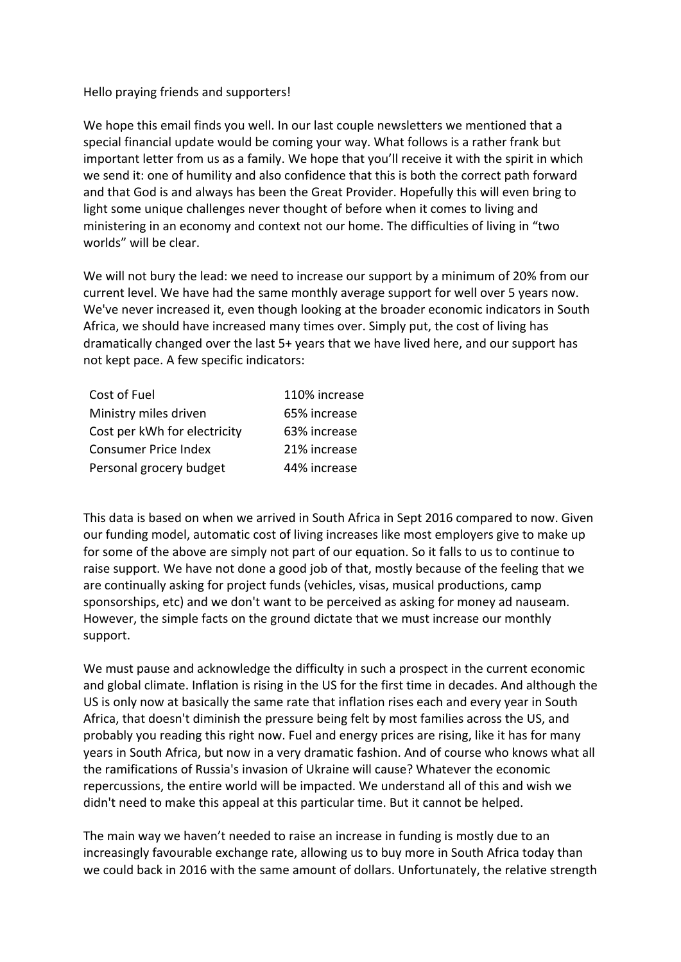## Hello praying friends and supporters!

We hope this email finds you well. In our last couple newsletters we mentioned that a special financial update would be coming your way. What follows is a rather frank but important letter from us as a family. We hope that you'll receive it with the spirit in which we send it: one of humility and also confidence that this is both the correct path forward and that God is and always has been the Great Provider. Hopefully this will even bring to light some unique challenges never thought of before when it comes to living and ministering in an economy and context not our home. The difficulties of living in "two worlds" will be clear.

We will not bury the lead: we need to increase our support by a minimum of 20% from our current level. We have had the same monthly average support for well over 5 years now. We've never increased it, even though looking at the broader economic indicators in South Africa, we should have increased many times over. Simply put, the cost of living has dramatically changed over the last 5+ years that we have lived here, and our support has not kept pace. A few specific indicators:

| Cost of Fuel                 | 110% increase |
|------------------------------|---------------|
| Ministry miles driven        | 65% increase  |
| Cost per kWh for electricity | 63% increase  |
| <b>Consumer Price Index</b>  | 21% increase  |
| Personal grocery budget      | 44% increase  |

This data is based on when we arrived in South Africa in Sept 2016 compared to now. Given our funding model, automatic cost of living increases like most employers give to make up for some of the above are simply not part of our equation. So it falls to us to continue to raise support. We have not done a good job of that, mostly because of the feeling that we are continually asking for project funds (vehicles, visas, musical productions, camp sponsorships, etc) and we don't want to be perceived as asking for money ad nauseam. However, the simple facts on the ground dictate that we must increase our monthly support.

We must pause and acknowledge the difficulty in such a prospect in the current economic and global climate. Inflation is rising in the US for the first time in decades. And although the US is only now at basically the same rate that inflation rises each and every year in South Africa, that doesn't diminish the pressure being felt by most families across the US, and probably you reading this right now. Fuel and energy prices are rising, like it has for many years in South Africa, but now in a very dramatic fashion. And of course who knows what all the ramifications of Russia's invasion of Ukraine will cause? Whatever the economic repercussions, the entire world will be impacted. We understand all of this and wish we didn't need to make this appeal at this particular time. But it cannot be helped.

The main way we haven't needed to raise an increase in funding is mostly due to an increasingly favourable exchange rate, allowing us to buy more in South Africa today than we could back in 2016 with the same amount of dollars. Unfortunately, the relative strength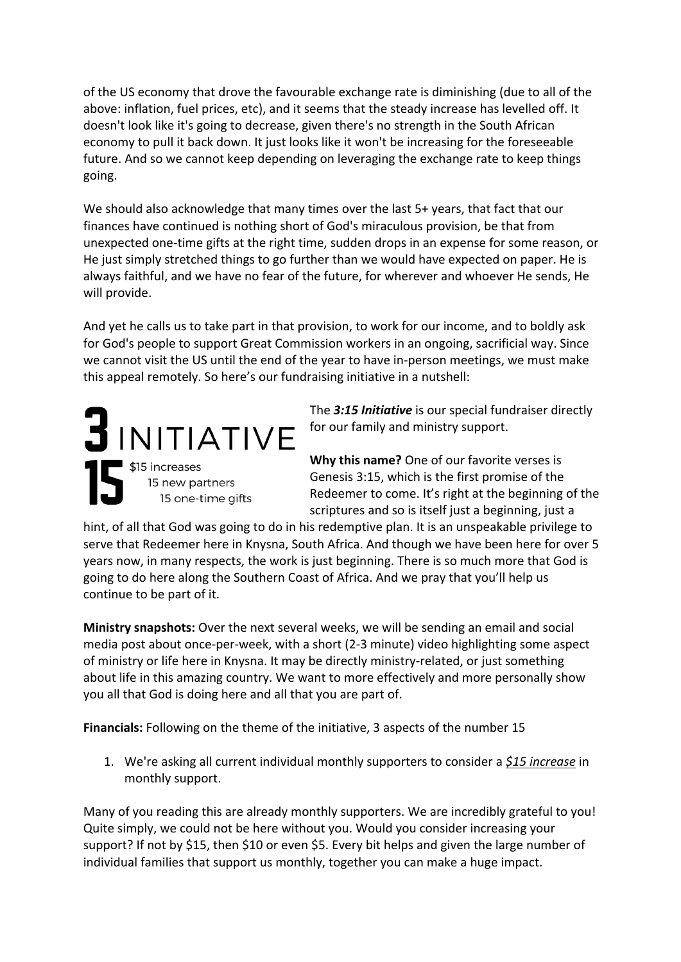of the US economy that drove the favourable exchange rate is diminishing (due to all of the above: inflation, fuel prices, etc), and it seems that the steady increase has levelled off. It doesn't look like it's going to decrease, given there's no strength in the South African economy to pull it back down. It just looks like it won't be increasing for the foreseeable future. And so we cannot keep depending on leveraging the exchange rate to keep things going.

We should also acknowledge that many times over the last 5+ years, that fact that our finances have continued is nothing short of God's miraculous provision, be that from unexpected one-time gifts at the right time, sudden drops in an expense for some reason, or He just simply stretched things to go further than we would have expected on paper. He is always faithful, and we have no fear of the future, for wherever and whoever He sends, He will provide.

And yet he calls us to take part in that provision, to work for our income, and to boldly ask for God's people to support Great Commission workers in an ongoing, sacrificial way. Since we cannot visit the US until the end of the year to have in-person meetings, we must make this appeal remotely. So here's our fundraising initiative in a nutshell:

 $J$ INITIATIVE \$15 increases 15 new partners 15 one-time gifts

The *3:15 Initiative* is our special fundraiser directly for our family and ministry support.

**Why this name?** One of our favorite verses is Genesis 3:15, which is the first promise of the Redeemer to come. It's right at the beginning of the scriptures and so is itself just a beginning, just a

hint, of all that God was going to do in his redemptive plan. It is an unspeakable privilege to serve that Redeemer here in Knysna, South Africa. And though we have been here for over 5 years now, in many respects, the work is just beginning. There is so much more that God is going to do here along the Southern Coast of Africa. And we pray that you'll help us continue to be part of it.

**Ministry snapshots:** Over the next several weeks, we will be sending an email and social media post about once-per-week, with a short (2-3 minute) video highlighting some aspect of ministry or life here in Knysna. It may be directly ministry-related, or just something about life in this amazing country. We want to more effectively and more personally show you all that God is doing here and all that you are part of.

**Financials:** Following on the theme of the initiative, 3 aspects of the number 15

1. We're asking all current individual monthly supporters to consider a *\$15 increase* in monthly support.

Many of you reading this are already monthly supporters. We are incredibly grateful to you! Quite simply, we could not be here without you. Would you consider increasing your support? If not by \$15, then \$10 or even \$5. Every bit helps and given the large number of individual families that support us monthly, together you can make a huge impact.